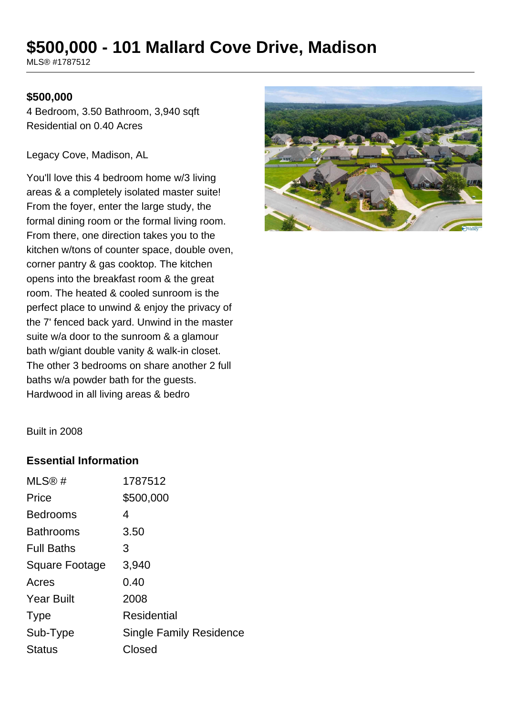# **\$500,000 - 101 Mallard Cove Drive, Madison**

MLS® #1787512

#### **\$500,000**

4 Bedroom, 3.50 Bathroom, 3,940 sqft Residential on 0.40 Acres

Legacy Cove, Madison, AL

You'll love this 4 bedroom home w/3 living areas & a completely isolated master suite! From the foyer, enter the large study, the formal dining room or the formal living room. From there, one direction takes you to the kitchen w/tons of counter space, double oven, corner pantry & gas cooktop. The kitchen opens into the breakfast room & the great room. The heated & cooled sunroom is the perfect place to unwind & enjoy the privacy of the 7' fenced back yard. Unwind in the master suite w/a door to the sunroom & a glamour bath w/giant double vanity & walk-in closet. The other 3 bedrooms on share another 2 full baths w/a powder bath for the guests. Hardwood in all living areas & bedro



Built in 2008

### **Essential Information**

| MLS@#             | 1787512                        |
|-------------------|--------------------------------|
| Price             | \$500,000                      |
| <b>Bedrooms</b>   | 4                              |
| <b>Bathrooms</b>  | 3.50                           |
| <b>Full Baths</b> | 3                              |
| Square Footage    | 3,940                          |
| Acres             | 0.40                           |
| <b>Year Built</b> | 2008                           |
| <b>Type</b>       | Residential                    |
| Sub-Type          | <b>Single Family Residence</b> |
| <b>Status</b>     | Closed                         |